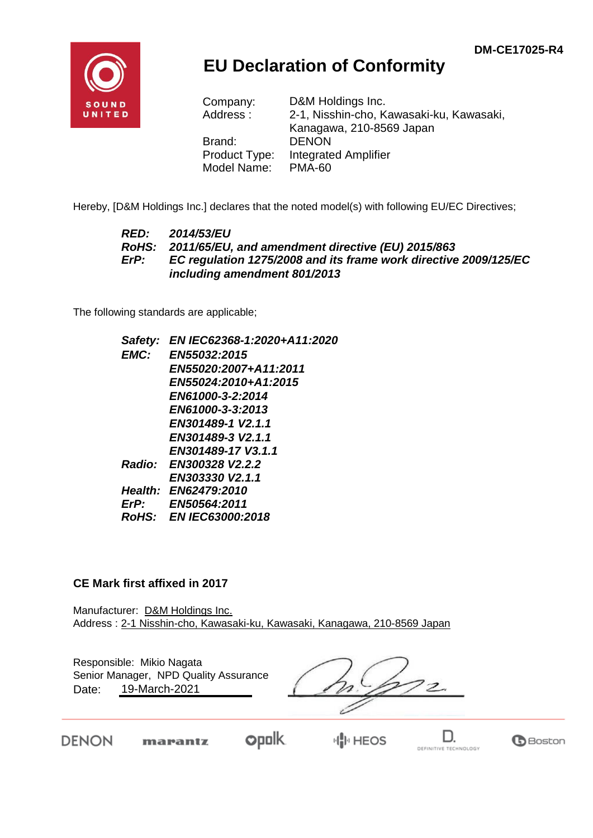

## **EU Declaration of Conformity**

| Company:      | D&M Holdings Inc.                        |
|---------------|------------------------------------------|
| Address:      | 2-1, Nisshin-cho, Kawasaki-ku, Kawasaki, |
|               | Kanagawa, 210-8569 Japan                 |
| Brand:        | <b>DENON</b>                             |
| Product Type: | <b>Integrated Amplifier</b>              |
| Model Name:   | <b>PMA-60</b>                            |

Hereby, [D&M Holdings Inc.] declares that the noted model(s) with following EU/EC Directives;

## *RED: 2014/53/EU RoHS: 2011/65/EU, and amendment directive (EU) 2015/863 ErP: EC regulation 1275/2008 and its frame work directive 2009/125/EC including amendment 801/2013*

The following standards are applicable;

*Safety: EN IEC62368-1:2020+A11:2020 EMC: EN55032:2015 EN55020:2007+A11:2011 EN55024:2010+A1:2015 EN61000-3-2:2014 EN61000-3-3:2013 EN301489-1 V2.1.1 EN301489-3 V2.1.1 EN301489-17 V3.1.1 Radio: EN300328 V2.2.2 EN303330 V2.1.1 Health: EN62479:2010 ErP: EN50564:2011 RoHS: EN IEC63000:2018*

## **CE Mark first affixed in 2017**

Manufacturer: D&M Holdings Inc. Address : 2-1 Nisshin-cho, Kawasaki-ku, Kawasaki, Kanagawa, 210-8569 Japan

| Responsible: Mikio Nagata<br>Senior Manager, NPD Quality Assurance<br>19-March-2021<br>Date: |  |  |
|----------------------------------------------------------------------------------------------|--|--|
|                                                                                              |  |  |

**DENON** 

 $opolk$ marantz

HIIII HEOS